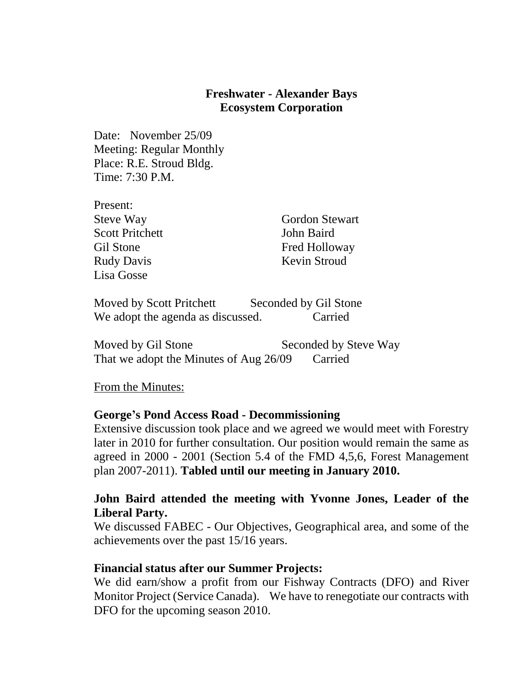## **Freshwater - Alexander Bays Ecosystem Corporation**

Date: November 25/09 Meeting: Regular Monthly Place: R.E. Stroud Bldg. Time: 7:30 P.M.

| Present:               |                       |
|------------------------|-----------------------|
| <b>Steve Way</b>       | <b>Gordon Stewart</b> |
| <b>Scott Pritchett</b> | John Baird            |
| Gil Stone              | Fred Holloway         |
| <b>Rudy Davis</b>      | Kevin Stroud          |
| Lisa Gosse             |                       |
|                        |                       |

Moved by Scott Pritchett Seconded by Gil Stone We adopt the agenda as discussed. Carried

Moved by Gil Stone Seconded by Steve Way That we adopt the Minutes of Aug 26/09 Carried

From the Minutes:

#### **George's Pond Access Road - Decommissioning**

Extensive discussion took place and we agreed we would meet with Forestry later in 2010 for further consultation. Our position would remain the same as agreed in 2000 - 2001 (Section 5.4 of the FMD 4,5,6, Forest Management plan 2007-2011). **Tabled until our meeting in January 2010.**

## **John Baird attended the meeting with Yvonne Jones, Leader of the Liberal Party.**

We discussed FABEC - Our Objectives, Geographical area, and some of the achievements over the past 15/16 years.

#### **Financial status after our Summer Projects:**

We did earn/show a profit from our Fishway Contracts (DFO) and River Monitor Project (Service Canada). We have to renegotiate our contracts with DFO for the upcoming season 2010.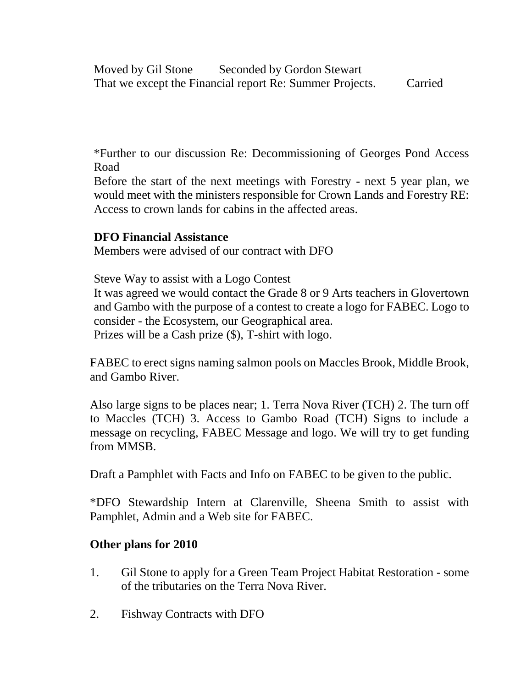Moved by Gil Stone Seconded by Gordon Stewart That we except the Financial report Re: Summer Projects. Carried

\*Further to our discussion Re: Decommissioning of Georges Pond Access Road

Before the start of the next meetings with Forestry - next 5 year plan, we would meet with the ministers responsible for Crown Lands and Forestry RE: Access to crown lands for cabins in the affected areas.

## **DFO Financial Assistance**

Members were advised of our contract with DFO

Steve Way to assist with a Logo Contest It was agreed we would contact the Grade 8 or 9 Arts teachers in Glovertown and Gambo with the purpose of a contest to create a logo for FABEC. Logo to consider - the Ecosystem, our Geographical area. Prizes will be a Cash prize (\$), T-shirt with logo.

FABEC to erect signs naming salmon pools on Maccles Brook, Middle Brook, and Gambo River.

Also large signs to be places near; 1. Terra Nova River (TCH) 2. The turn off to Maccles (TCH) 3. Access to Gambo Road (TCH) Signs to include a message on recycling, FABEC Message and logo. We will try to get funding from MMSB.

Draft a Pamphlet with Facts and Info on FABEC to be given to the public.

\*DFO Stewardship Intern at Clarenville, Sheena Smith to assist with Pamphlet, Admin and a Web site for FABEC.

## **Other plans for 2010**

- 1. Gil Stone to apply for a Green Team Project Habitat Restoration some of the tributaries on the Terra Nova River.
- 2. Fishway Contracts with DFO